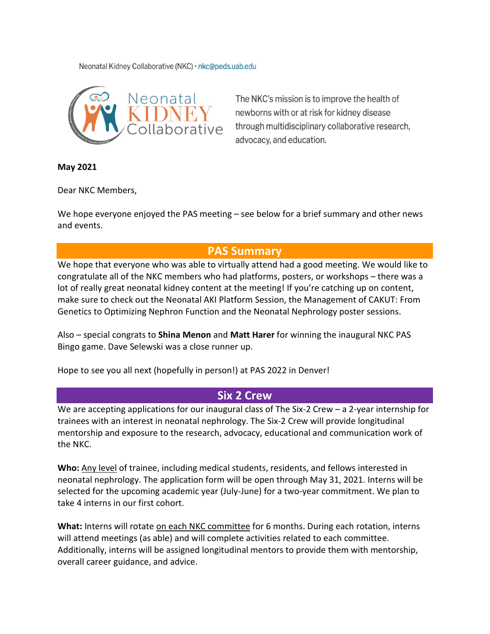Neonatal Kidney Collaborative (NKC) · nkc@peds.uab.edu



The NKC's mission is to improve the health of newborns with or at risk for kidney disease through multidisciplinary collaborative research, advocacy, and education.

**May 2021**

Dear NKC Members,

We hope everyone enjoyed the PAS meeting – see below for a brief summary and other news and events.

## **PAS Summary**

We hope that everyone who was able to virtually attend had a good meeting. We would like to congratulate all of the NKC members who had platforms, posters, or workshops – there was a lot of really great neonatal kidney content at the meeting! If you're catching up on content, make sure to check out the Neonatal AKI Platform Session, the Management of CAKUT: From Genetics to Optimizing Nephron Function and the Neonatal Nephrology poster sessions.

Also – special congrats to **Shina Menon** and **Matt Harer** for winning the inaugural NKC PAS Bingo game. Dave Selewski was a close runner up.

Hope to see you all next (hopefully in person!) at PAS 2022 in Denver!

## **Six 2 Crew**

We are accepting applications for our inaugural class of The Six-2 Crew - a 2-year internship for trainees with an interest in neonatal nephrology. The Six-2 Crew will provide longitudinal mentorship and exposure to the research, advocacy, educational and communication work of the NKC.

**Who:** Any level of trainee, including medical students, residents, and fellows interested in neonatal nephrology. The application form will be open through May 31, 2021. Interns will be selected for the upcoming academic year (July-June) for a two-year commitment. We plan to take 4 interns in our first cohort.

**What:** Interns will rotate on each NKC committee for 6 months. During each rotation, interns will attend meetings (as able) and will complete activities related to each committee. Additionally, interns will be assigned longitudinal mentors to provide them with mentorship, overall career guidance, and advice.